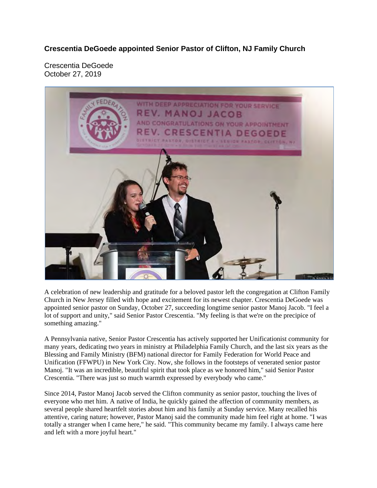**Crescentia DeGoede appointed Senior Pastor of Clifton, NJ Family Church** 

Crescentia DeGoede October 27, 2019



A celebration of new leadership and gratitude for a beloved pastor left the congregation at Clifton Family Church in New Jersey filled with hope and excitement for its newest chapter. Crescentia DeGoede was appointed senior pastor on Sunday, October 27, succeeding longtime senior pastor Manoj Jacob. "I feel a lot of support and unity," said Senior Pastor Crescentia. "My feeling is that we're on the precipice of something amazing."

A Pennsylvania native, Senior Pastor Crescentia has actively supported her Unificationist community for many years, dedicating two years in ministry at Philadelphia Family Church, and the last six years as the Blessing and Family Ministry (BFM) national director for Family Federation for World Peace and Unification (FFWPU) in New York City. Now, she follows in the footsteps of venerated senior pastor Manoj. "It was an incredible, beautiful spirit that took place as we honored him," said Senior Pastor Crescentia. "There was just so much warmth expressed by everybody who came."

Since 2014, Pastor Manoj Jacob served the Clifton community as senior pastor, touching the lives of everyone who met him. A native of India, he quickly gained the affection of community members, as several people shared heartfelt stories about him and his family at Sunday service. Many recalled his attentive, caring nature; however, Pastor Manoj said the community made him feel right at home. "I was totally a stranger when I came here," he said. "This community became my family. I always came here and left with a more joyful heart."